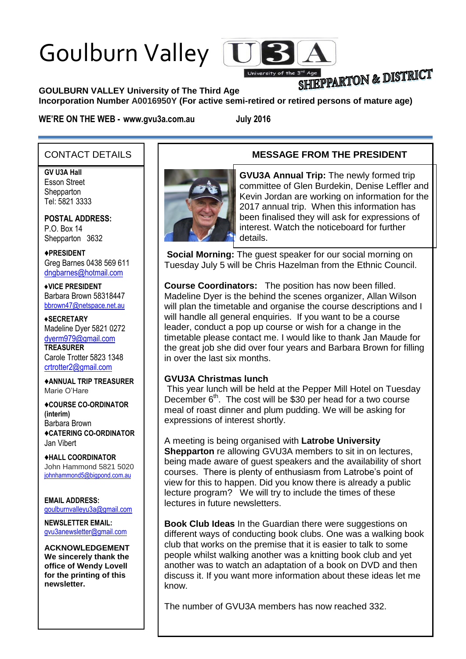# Goulburn Valley



## SHIEPPARTON & DISTRICT

#### **GOULBURN VALLEY University of The Third Age**

**Incorporation Number A0016950Y (For active semi-retired or retired persons of mature age)**

**WE'RE ON THE WEB - www.gvu3a.com.au July 2016**

#### CONTACT DETAILS

**GV U3A Hall**

Esson Street **Shepparton** Tel: 5821 3333

**POSTAL ADDRESS:** P.O. Box 14 Shepparton 3632

♦**PRESIDENT** Greg Barnes 0438 569 611 [dngbarnes@hotmail.com](mailto:dngbarnes@hotmail.com)

♦**VICE PRESIDENT** Barbara Brown 58318447 [bbrown47@netspace.net.au](mailto:bbrown47@netspace.net.au)

♦**SECRETARY** Madeline Dyer 5821 0272 [dyerm979@gmail.com](mailto:dyerm979@gmail.com) **TREASURER** Carole Trotter 5823 1348 crtrotter2@gmail.com

♦**ANNUAL TRIP TREASURER** Marie O'Hare

♦**COURSE CO-ORDINATOR (interim)** Barbara Brown ♦**CATERING CO-ORDINATOR** Jan Vibert

♦**HALL COORDINATOR** John Hammond 5821 5020 [johnhammond5@bigpond.com.au](mailto:johnhammond5@bigpond.com.au)

**EMAIL ADDRESS:** [goulburnvalleyu3a@gmail.com](mailto:goulburnvalleyu3a@gmail.com)

**NEWSLETTER EMAIL:** [gvu3anewsletter@gmail.com](mailto:gvu3anewsletter@gmail.com)

**ACKNOWLEDGEMENT We sincerely thank the office of Wendy Lovell for the printing of this newsletter.**

#### **MESSAGE FROM THE PRESIDENT**



**GVU3A Annual Trip:** The newly formed trip committee of Glen Burdekin, Denise Leffler and Kevin Jordan are working on information for the 2017 annual trip. When this information has been finalised they will ask for expressions of interest. Watch the noticeboard for further details.

**Social Morning:** The guest speaker for our social morning on Tuesday July 5 will be Chris Hazelman from the Ethnic Council.

**Course Coordinators:** The position has now been filled. Madeline Dyer is the behind the scenes organizer, Allan Wilson will plan the timetable and organise the course descriptions and I will handle all general enquiries. If you want to be a course leader, conduct a pop up course or wish for a change in the timetable please contact me. I would like to thank Jan Maude for the great job she did over four years and Barbara Brown for filling in over the last six months.

#### **GVU3A Christmas lunch**

Greg Barnes

This year lunch will be held at the Pepper Mill Hotel on Tuesday December  $6<sup>th</sup>$ . The cost will be \$30 per head for a two course meal of roast dinner and plum pudding. We will be asking for expressions of interest shortly.

A meeting is being organised with **Latrobe University Shepparton** re allowing GVU3A members to sit in on lectures, being made aware of guest speakers and the availability of short courses. There is plenty of enthusiasm from Latrobe's point of view for this to happen. Did you know there is already a public lecture program? We will try to include the times of these lectures in future newsletters.

**Book Club Ideas** In the Guardian there were suggestions on different ways of conducting book clubs. One was a walking book club that works on the premise that it is easier to talk to some people whilst walking another was a knitting book club and yet another was to watch an adaptation of a book on DVD and then discuss it. If you want more information about these ideas let me know.

The number of GVU3A members has now reached 332.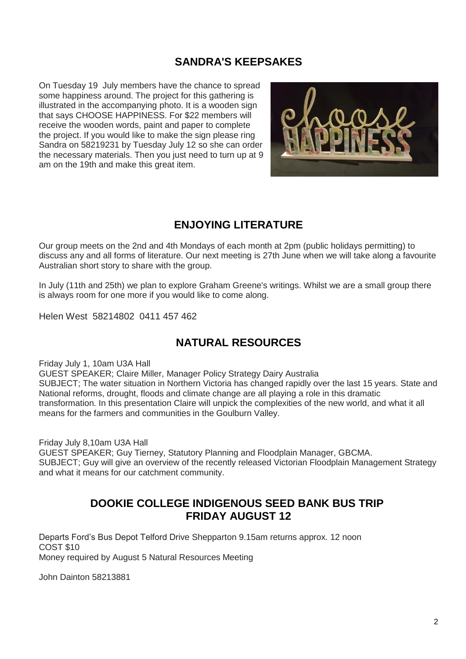#### **SANDRA'S KEEPSAKES**

On Tuesday 19 July members have the chance to spread some happiness around. The project for this gathering is illustrated in the accompanying photo. It is a wooden sign that says CHOOSE HAPPINESS. For \$22 members will receive the wooden words, paint and paper to complete the project. If you would like to make the sign please ring Sandra on 58219231 by Tuesday July 12 so she can order the necessary materials. Then you just need to turn up at 9 am on the 19th and make this great item.



#### **ENJOYING LITERATURE**

Our group meets on the 2nd and 4th Mondays of each month at 2pm (public holidays permitting) to discuss any and all forms of literature. Our next meeting is 27th June when we will take along a favourite Australian short story to share with the group.

In July (11th and 25th) we plan to explore Graham Greene's writings. Whilst we are a small group there is always room for one more if you would like to come along.

Helen West 58214802 0411 457 462

#### **NATURAL RESOURCES**

Friday July 1, 10am U3A Hall

GUEST SPEAKER; Claire Miller, Manager Policy Strategy Dairy Australia SUBJECT; The water situation in Northern Victoria has changed rapidly over the last 15 years. State and National reforms, drought, floods and climate change are all playing a role in this dramatic transformation. In this presentation Claire will unpick the complexities of the new world, and what it all means for the farmers and communities in the Goulburn Valley.

Friday July 8,10am U3A Hall

GUEST SPEAKER; Guy Tierney, Statutory Planning and Floodplain Manager, GBCMA. SUBJECT; Guy will give an overview of the recently released Victorian Floodplain Management Strategy and what it means for our catchment community.

#### **DOOKIE COLLEGE INDIGENOUS SEED BANK BUS TRIP FRIDAY AUGUST 12**

Departs Ford's Bus Depot Telford Drive Shepparton 9.15am returns approx. 12 noon COST \$10 Money required by August 5 Natural Resources Meeting

John Dainton 58213881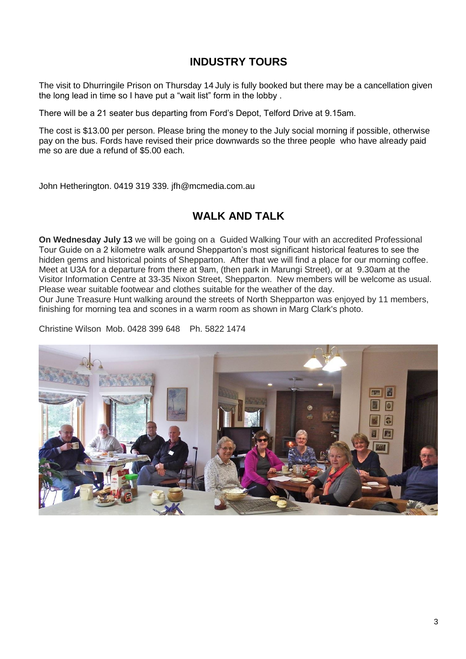#### **INDUSTRY TOURS**

The visit to Dhurringile Prison on Thursday 14 July is fully booked but there may be a cancellation given the long lead in time so I have put a "wait list" form in the lobby .

There will be a 21 seater bus departing from Ford's Depot, Telford Drive at 9.15am.

The cost is \$13.00 per person. Please bring the money to the July social morning if possible, otherwise pay on the bus. Fords have revised their price downwards so the three people who have already paid me so are due a refund of \$5.00 each.

John Hetherington. 0419 319 339. jfh@mcmedia.com.au

#### **WALK AND TALK**

**On Wednesday July 13** we will be going on a Guided Walking Tour with an accredited Professional Tour Guide on a 2 kilometre walk around Shepparton's most significant historical features to see the hidden gems and historical points of Shepparton. After that we will find a place for our morning coffee. Meet at U3A for a departure from there at 9am, (then park in Marungi Street), or at 9.30am at the Visitor Information Centre at 33-35 Nixon Street, Shepparton. New members will be welcome as usual. Please wear suitable footwear and clothes suitable for the weather of the day.

Our June Treasure Hunt walking around the streets of North Shepparton was enjoyed by 11 members, finishing for morning tea and scones in a warm room as shown in Marg Clark's photo.

Christine Wilson Mob. 0428 399 648 Ph. 5822 1474

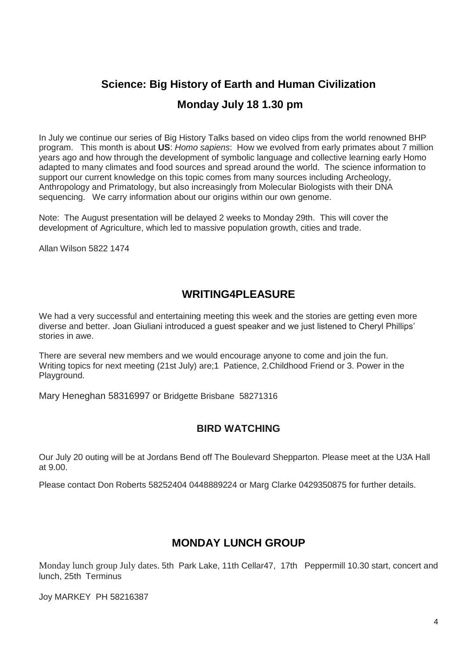### **Science: Big History of Earth and Human Civilization Monday July 18 1.30 pm**

In July we continue our series of Big History Talks based on video clips from the world renowned BHP program. This month is about **US**: *Homo sapiens*: How we evolved from early primates about 7 million years ago and how through the development of symbolic language and collective learning early Homo adapted to many climates and food sources and spread around the world. The science information to support our current knowledge on this topic comes from many sources including Archeology, Anthropology and Primatology, but also increasingly from Molecular Biologists with their DNA sequencing. We carry information about our origins within our own genome.

Note: The August presentation will be delayed 2 weeks to Monday 29th. This will cover the development of Agriculture, which led to massive population growth, cities and trade.

Allan Wilson 5822 1474

#### **WRITING4PLEASURE**

We had a very successful and entertaining meeting this week and the stories are getting even more diverse and better. Joan Giuliani introduced a guest speaker and we just listened to Cheryl Phillips' stories in awe.

There are several new members and we would encourage anyone to come and join the fun. Writing topics for next meeting (21st July) are;1 Patience, 2.Childhood Friend or 3. Power in the Playground.

Mary Heneghan 58316997 or Bridgette Brisbane 58271316

#### **BIRD WATCHING**

Our July 20 outing will be at Jordans Bend off The Boulevard Shepparton. Please meet at the U3A Hall at 9.00.

Please contact Don Roberts 58252404 0448889224 or Marg Clarke 0429350875 for further details.

#### **MONDAY LUNCH GROUP**

Monday lunch group July dates. 5th Park Lake, 11th Cellar47, 17th Peppermill 10.30 start, concert and lunch, 25th Terminus

Joy MARKEY PH 58216387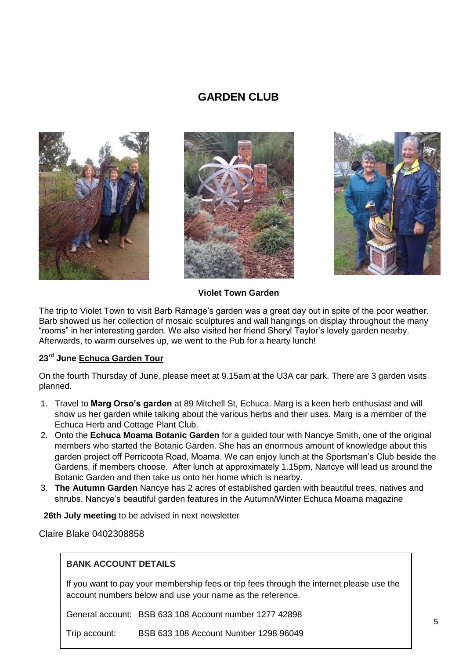#### **GARDEN CLUB**







#### **Violet Town Garden**

The trip to Violet Town to visit Barb Ramage's garden was a great day out in spite of the poor weather. Barb showed us her collection of mosaic sculptures and wall hangings on display throughout the many "rooms" in her interesting garden. We also visited her friend Sheryl Taylor's lovely garden nearby. Afterwards, to warm ourselves up, we went to the Pub for a hearty lunch!

#### **23rd June Echuca Garden Tour**

On the fourth Thursday of June, please meet at 9.15am at the U3A car park. There are 3 garden visits planned.

- 1. Travel to **Marg Orso's garden** at 89 Mitchell St, Echuca. Marg is a keen herb enthusiast and will show us her garden while talking about the various herbs and their uses. Marg is a member of the Echuca Herb and Cottage Plant Club.
- 2. Onto the **Echuca Moama Botanic Garden** for a guided tour with Nancye Smith, one of the original members who started the Botanic Garden. She has an enormous amount of knowledge about this garden project off Perricoota Road, Moama. We can enjoy lunch at the Sportsman's Club beside the Gardens, if members choose. After lunch at approximately 1.15pm, Nancye will lead us around the Botanic Garden and then take us onto her home which is nearby.
- 3. **The Autumn Garden** Nancye has 2 acres of established garden with beautiful trees, natives and shrubs. Nancye's beautiful garden features in the Autumn/Winter Echuca Moama magazine

 **26th July meeting** to be advised in next newsletter

Claire Blake 0402308858

#### **BANK ACCOUNT DETAILS**

If you want to pay your membership fees or trip fees through the internet please use the account numbers below and use your name as the reference.

General account: BSB 633 108 Account number 1277 42898

Trip account: BSB 633 108 Account Number 1298 96049